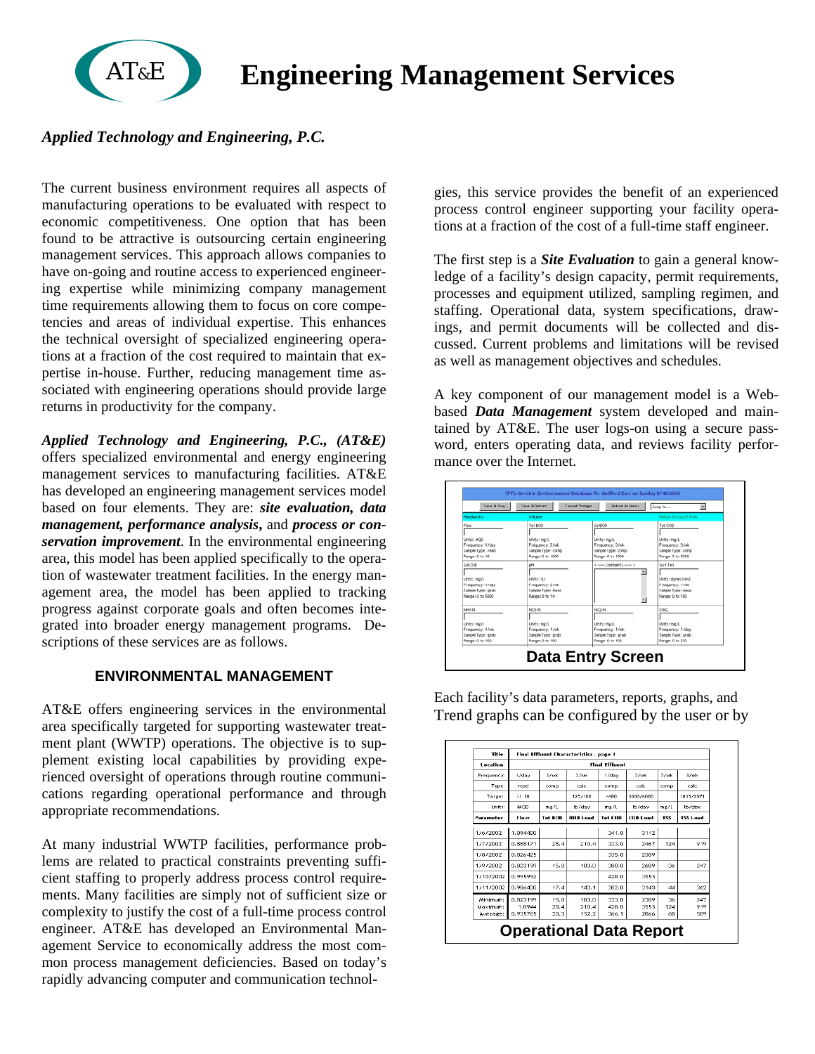# **Engineering Management Services**

## *Applied Technology and Engineering, P.C.*

AT&E

The current business environment requires all aspects of manufacturing operations to be evaluated with respect to economic competitiveness. One option that has been found to be attractive is outsourcing certain engineering management services. This approach allows companies to have on-going and routine access to experienced engineering expertise while minimizing company management time requirements allowing them to focus on core competencies and areas of individual expertise. This enhances the technical oversight of specialized engineering operations at a fraction of the cost required to maintain that expertise in-house. Further, reducing management time associated with engineering operations should provide large returns in productivity for the company.

*Applied Technology and Engineering, P.C., (AT&E)* offers specialized environmental and energy engineering management services to manufacturing facilities. AT&E has developed an engineering management services model based on four elements. They are: *site evaluation, data management, performance analysis***,** and *process or conservation improvement*. In the environmental engineering area, this model has been applied specifically to the operation of wastewater treatment facilities. In the energy management area, the model has been applied to tracking progress against corporate goals and often becomes integrated into broader energy management programs. Descriptions of these services are as follows.

### **ENVIRONMENTAL MANAGEMENT**

AT&E offers engineering services in the environmental area specifically targeted for supporting wastewater treatment plant (WWTP) operations. The objective is to supplement existing local capabilities by providing experienced oversight of operations through routine communications regarding operational performance and through appropriate recommendations.

At many industrial WWTP facilities, performance problems are related to practical constraints preventing sufficient staffing to properly address process control requirements. Many facilities are simply not of sufficient size or complexity to justify the cost of a full-time process control engineer. AT&E has developed an Environmental Management Service to economically address the most common process management deficiencies. Based on today's rapidly advancing computer and communication technolgies, this service provides the benefit of an experienced process control engineer supporting your facility operations at a fraction of the cost of a full-time staff engineer.

The first step is a *Site Evaluation* to gain a general knowledge of a facility's design capacity, permit requirements, processes and equipment utilized, sampling regimen, and staffing. Operational data, system specifications, drawings, and permit documents will be collected and discussed. Current problems and limitations will be revised as well as management objectives and schedules.

A key component of our management model is a Webbased *Data Management* system developed and maintained by AT&E. The user logs-on using a secure password, enters operating data, and reviews facility performance over the Internet.

| Save 8.Stay       | <b>Caus &amp; Daturn</b> | Cancel Changes<br><b>Deturn to Herus</b> | $\overline{\phantom{a}}$<br>Jump to |
|-------------------|--------------------------|------------------------------------------|-------------------------------------|
| <b>Headworks</b>  | Influent                 |                                          | Return for top of form.             |
| Flow              | Tot BOD                  | <b>Set 800</b>                           | Tot COD                             |
| UWRS: MGD         | Units: me/L              | Units: ma/L                              | Units: ma/L                         |
| Frequency: 1/day  | Frequency: 3/wk          | Frequency: 3/wk.                         | Frequency: 3/wk.                    |
| Sample Type: read | Sample Type: comp        | Sample Type: comp                        | Sample Type: comp                   |
| Range: 0 to 10    | Range: 0 to 1000         | Range: 0 to 1000                         | Range: 0 to 5000                    |
| Set COD           | COM                      | Commo Commercial common to               | Surf Ten                            |
| Linits: mg/L      | Linite: SU               |                                          | Units: dynes/cm2                    |
| Frequency: 1/day  | Frequency: 3/wk          |                                          | Frequency: 1/wk                     |
| Sample Type: grab | Sample Type: meas        |                                          | Sample Type: meas                   |
| Range: 0 to 5000  | Range: 0 to 14           |                                          | Range: 0 to 100                     |
| NHON              | NO3 N                    | NO2-N                                    | oso                                 |
| Units: mg/L       | Units: mg/L              | Units: mg/L                              | Units: mg/L                         |
| Frequency: 1/wk   | Frequency: 1/wk          | Frequency: 1/wk.                         | Frequency: 1/day                    |
| Sample Type: grab | Sample Type: grab        | Sample Type: grab                        | Sample Type: grab                   |
| Range: 0 to 100   | Range: 0 to 100          | Range: 0 to 100                          | Range: 0 to 250                     |

Each facility's data parameters, reports, graphs, and Trend graphs can be configured by the user or by

| Location:<br>Frequency: | <b>Final Effluent</b> |                |                   |                |                 |            |                 |           |  |  |  |  |  |
|-------------------------|-----------------------|----------------|-------------------|----------------|-----------------|------------|-----------------|-----------|--|--|--|--|--|
|                         | $1$ /dav              | 3 Aude         | 3 / udc           | $1$ /day       | 3 / wk          | 3 / udc    | 3 / wk<br>calc  |           |  |  |  |  |  |
| Type:                   | read                  | comp           | calc              | comp           | calc            | comp       |                 |           |  |  |  |  |  |
| Target:                 | 41.50                 |                | 125/188<br>lb/day | 4480<br>mg/L   |                 | 3000/6000  |                 | 1035/2071 |  |  |  |  |  |
| Units:                  | MGD                   | mg/L           |                   |                | lb/day          | mg/L       | lb/day          |           |  |  |  |  |  |
| Parameter:              | Flow                  | <b>Tot ROD</b> | <b>BOB</b> Load   | <b>Tot COB</b> | <b>COD Load</b> | <b>TSS</b> | <b>TSS Load</b> |           |  |  |  |  |  |
| 17672002                | 1.094400              |                |                   | 341.0          | 3112            |            |                 |           |  |  |  |  |  |
| 1/7/2002                | 0.888171              | 28.4           | 210.4             | 333.0          | 2467            | 124        | 919             |           |  |  |  |  |  |
| 1/8/2002                | 0.826425              |                |                   | 335.0          | 2309            |            |                 |           |  |  |  |  |  |
| 1/9/2002                | 0.823199              | 15.0           | 103.0             | 380.0          | 2609            | 36         | 247             |           |  |  |  |  |  |
| 1/10/2002               | 0.995992              |                |                   | 428.0          | 3555            |            |                 |           |  |  |  |  |  |
| 1/11/2002               | 0.986400              | 17.4           | 143.1             | 382.0          | 3143            | 44         | 362             |           |  |  |  |  |  |
| Minimum:<br>Maximum:    | 0.823199<br>1.0944    | 15.0<br>28.4   | 103.0<br>210.4    | 333.0<br>428.0 | 2309<br>3555    | 36<br>124  | 247<br>919      |           |  |  |  |  |  |
| Average:                | 0.935765              | 20.3           | 152.2             | 366.5          | 2866            | 68         | 509             |           |  |  |  |  |  |